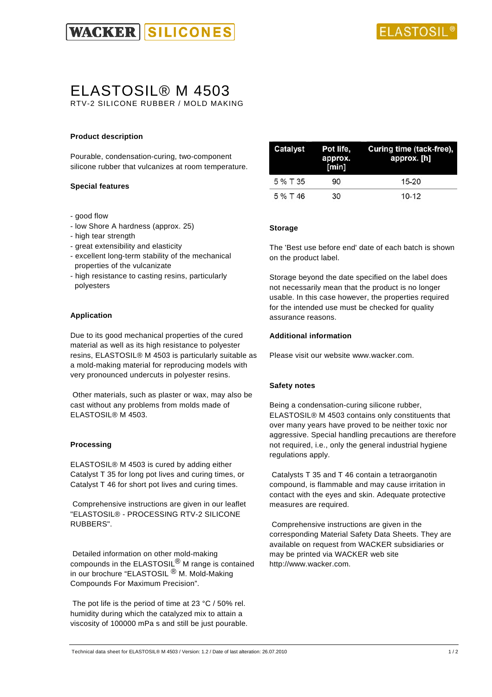

# ELASTOSIL® M 4503

RTV-2 SILICONE RUBBER / MOLD MAKING

# **Product description**

Pourable, condensation-curing, two-component silicone rubber that vulcanizes at room temperature.

## **Special features**

- good flow
- low Shore A hardness (approx. 25)
- high tear strength
- great extensibility and elasticity
- excellent long-term stability of the mechanical properties of the vulcanizate
- high resistance to casting resins, particularly polyesters

## **Application**

Due to its good mechanical properties of the cured material as well as its high resistance to polyester resins, ELASTOSIL® M 4503 is particularly suitable as a mold-making material for reproducing models with very pronounced undercuts in polyester resins.

 Other materials, such as plaster or wax, may also be cast without any problems from molds made of ELASTOSIL® M 4503.

#### **Processing**

ELASTOSIL® M 4503 is cured by adding either Catalyst T 35 for long pot lives and curing times, or Catalyst T 46 for short pot lives and curing times.

 Comprehensive instructions are given in our leaflet "ELASTOSIL® - PROCESSING RTV-2 SILICONE RUBBERS".

 Detailed information on other mold-making compounds in the ELASTOSIL<sup>®</sup> M range is contained in our brochure "ELASTOSIL ® M. Mold-Making Compounds For Maximum Precision".

The pot life is the period of time at 23 °C / 50% rel. humidity during which the catalyzed mix to attain a viscosity of 100000 mPa s and still be just pourable.

| Catalyst | Pot life.<br>approx.<br>[min] | Curing time (tack-free),<br>approx. [h] |  |
|----------|-------------------------------|-----------------------------------------|--|
| 5 % T 35 | 90                            | $15-20$                                 |  |
| 5 % T 46 | 30                            | $10 - 12$                               |  |

## **Storage**

The 'Best use before end' date of each batch is shown on the product label.

Storage beyond the date specified on the label does not necessarily mean that the product is no longer usable. In this case however, the properties required for the intended use must be checked for quality assurance reasons.

#### **Additional information**

Please visit our website www.wacker.com.

#### **Safety notes**

Being a condensation-curing silicone rubber, ELASTOSIL® M 4503 contains only constituents that over many years have proved to be neither toxic nor aggressive. Special handling precautions are therefore not required, i.e., only the general industrial hygiene regulations apply.

 Catalysts T 35 and T 46 contain a tetraorganotin compound, is flammable and may cause irritation in contact with the eyes and skin. Adequate protective measures are required.

 Comprehensive instructions are given in the corresponding Material Safety Data Sheets. They are available on request from WACKER subsidiaries or may be printed via WACKER web site http://www.wacker.com.